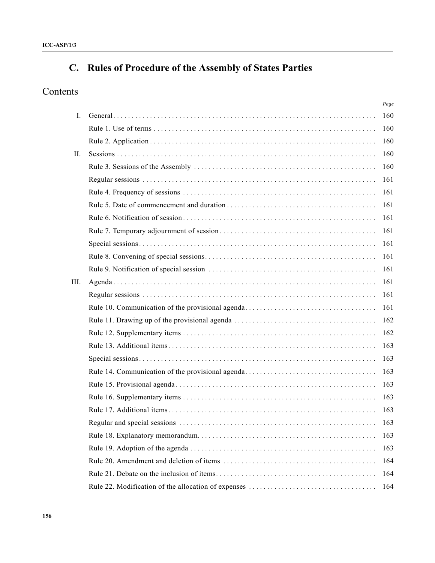# **C. Rules of Procedure of the Assembly of States Parties**

# Contents

|      | Page |
|------|------|
| L    | 160  |
|      | 160  |
|      | 160  |
| II.  | 160  |
|      | 160  |
|      | 161  |
|      | 161  |
|      | 161  |
|      | 161  |
|      | 161  |
|      | 161  |
|      | 161  |
|      | 161  |
| III. | 161  |
|      | 161  |
|      | 161  |
|      | 162  |
|      | 162  |
|      | 163  |
|      | 163  |
|      | 163  |
|      | 163  |
|      | 163  |
|      | 163  |
|      | 163  |
|      | 163  |
|      | 163  |
|      | 164  |
|      | 164  |
|      | 164  |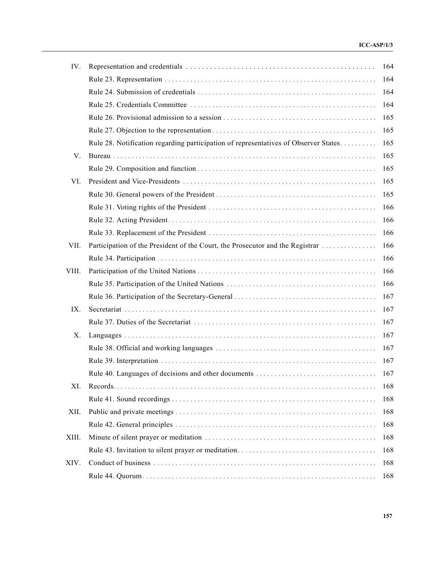| IV.   |                                                                                     | 164 |
|-------|-------------------------------------------------------------------------------------|-----|
|       |                                                                                     | 164 |
|       |                                                                                     | 164 |
|       |                                                                                     | 164 |
|       |                                                                                     | 165 |
|       |                                                                                     | 165 |
|       | Rule 28. Notification regarding participation of representatives of Observer States | 165 |
| V.    |                                                                                     | 165 |
|       |                                                                                     | 165 |
| VI.   |                                                                                     | 165 |
|       |                                                                                     | 165 |
|       |                                                                                     | 166 |
|       |                                                                                     | 166 |
|       |                                                                                     | 166 |
| VII.  | Participation of the President of the Court, the Prosecutor and the Registrar       | 166 |
|       |                                                                                     | 166 |
| VIII. |                                                                                     | 166 |
|       |                                                                                     | 166 |
|       |                                                                                     | 167 |
| IX.   |                                                                                     | 167 |
|       |                                                                                     | 167 |
| Χ.    |                                                                                     | 167 |
|       |                                                                                     | 167 |
|       |                                                                                     | 167 |
|       |                                                                                     | 167 |
| XI.   |                                                                                     | 168 |
|       |                                                                                     | 168 |
| XII.  |                                                                                     | 168 |
|       |                                                                                     | 168 |
| XIII. |                                                                                     | 168 |
|       |                                                                                     | 168 |
| XIV.  |                                                                                     | 168 |
|       |                                                                                     | 168 |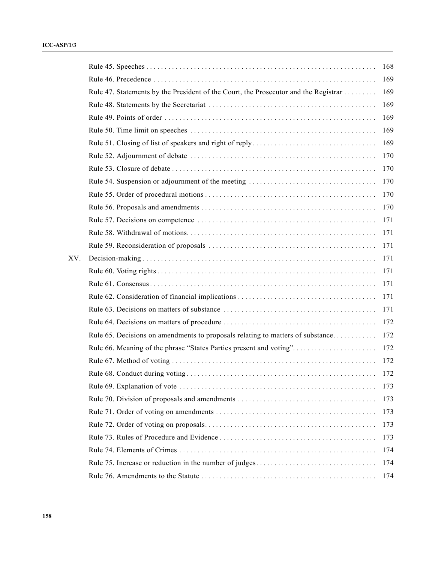|     | Rule 47. Statements by the President of the Court, the Prosecutor and the Registrar |
|-----|-------------------------------------------------------------------------------------|
|     |                                                                                     |
|     |                                                                                     |
|     |                                                                                     |
|     |                                                                                     |
|     |                                                                                     |
|     |                                                                                     |
|     |                                                                                     |
|     |                                                                                     |
|     |                                                                                     |
|     |                                                                                     |
|     |                                                                                     |
|     |                                                                                     |
| XV. |                                                                                     |
|     |                                                                                     |
|     |                                                                                     |
|     |                                                                                     |
|     |                                                                                     |
|     |                                                                                     |
|     | Rule 65. Decisions on amendments to proposals relating to matters of substance      |
|     |                                                                                     |
|     |                                                                                     |
|     |                                                                                     |
|     |                                                                                     |
|     |                                                                                     |
|     |                                                                                     |
|     |                                                                                     |
|     |                                                                                     |
|     |                                                                                     |
|     |                                                                                     |
|     |                                                                                     |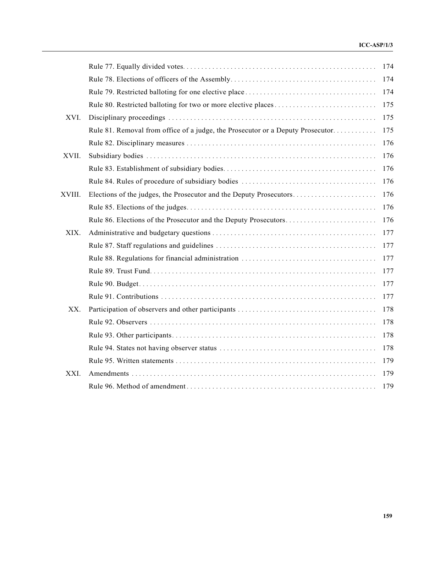|        |                                                                                | 174 |
|--------|--------------------------------------------------------------------------------|-----|
|        |                                                                                | 174 |
|        |                                                                                | 174 |
|        |                                                                                | 175 |
| XVI.   |                                                                                | 175 |
|        | Rule 81. Removal from office of a judge, the Prosecutor or a Deputy Prosecutor | 175 |
|        |                                                                                | 176 |
| XVII.  |                                                                                | 176 |
|        |                                                                                | 176 |
|        |                                                                                | 176 |
| XVIII. | Elections of the judges, the Prosecutor and the Deputy Prosecutors             | 176 |
|        |                                                                                | 176 |
|        |                                                                                | 176 |
| XIX.   |                                                                                | 177 |
|        |                                                                                | 177 |
|        |                                                                                | 177 |
|        |                                                                                | 177 |
|        |                                                                                | 177 |
|        |                                                                                | 177 |
| XX.    |                                                                                | 178 |
|        |                                                                                | 178 |
|        |                                                                                | 178 |
|        |                                                                                | 178 |
|        |                                                                                | 179 |
| XXI.   |                                                                                | 179 |
|        |                                                                                | 179 |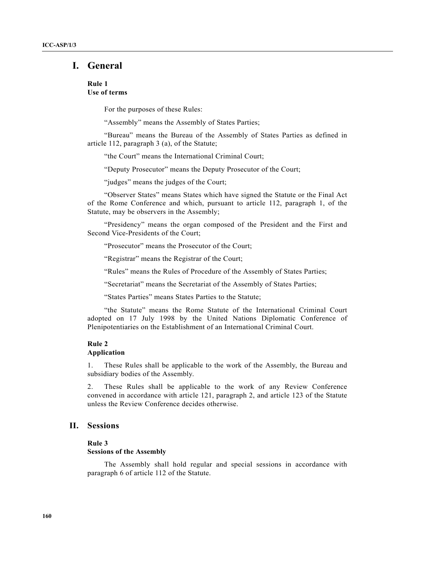# **I. General**

#### **Rule 1 Use of terms**

For the purposes of these Rules:

"Assembly" means the Assembly of States Parties;

"Bureau" means the Bureau of the Assembly of States Parties as defined in article 112, paragraph 3 (a), of the Statute;

"the Court" means the International Criminal Court;

ìDeputy Prosecutorî means the Deputy Prosecutor of the Court;

"judges" means the judges of the Court;

ìObserver Statesî means States which have signed the Statute or the Final Act of the Rome Conference and which, pursuant to article 112, paragraph 1, of the Statute, may be observers in the Assembly;

ìPresidencyî means the organ composed of the President and the First and Second Vice-Presidents of the Court;

"Prosecutor" means the Prosecutor of the Court:

"Registrar" means the Registrar of the Court;

"Rules" means the Rules of Procedure of the Assembly of States Parties;

"Secretariat" means the Secretariat of the Assembly of States Parties;

"States Parties" means States Parties to the Statute;

"the Statute" means the Rome Statute of the International Criminal Court adopted on 17 July 1998 by the United Nations Diplomatic Conference of Plenipotentiaries on the Establishment of an International Criminal Court.

# **Rule 2**

### **Application**

1. These Rules shall be applicable to the work of the Assembly, the Bureau and subsidiary bodies of the Assembly.

2. These Rules shall be applicable to the work of any Review Conference convened in accordance with article 121, paragraph 2, and article 123 of the Statute unless the Review Conference decides otherwise.

# **II. Sessions**

### **Rule 3**

### **Sessions of the Assembly**

The Assembly shall hold regular and special sessions in accordance with paragraph 6 of article 112 of the Statute.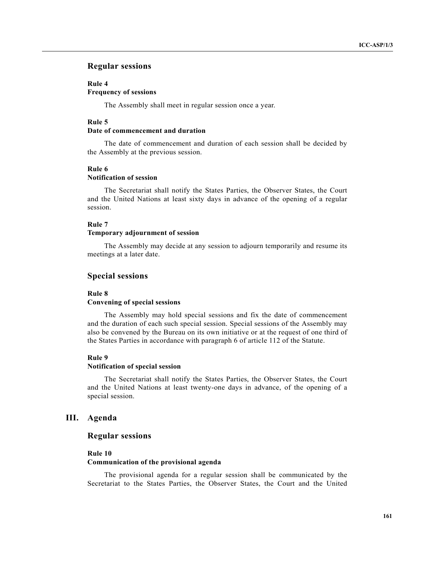# **Regular sessions**

### **Rule 4**

# **Frequency of sessions**

The Assembly shall meet in regular session once a year.

### **Rule 5**

# **Date of commencement and duration**

The date of commencement and duration of each session shall be decided by the Assembly at the previous session.

## **Rule 6**

# **Notification of session**

The Secretariat shall notify the States Parties, the Observer States, the Court and the United Nations at least sixty days in advance of the opening of a regular session.

# **Rule 7**

### **Temporary adjournment of session**

The Assembly may decide at any session to adjourn temporarily and resume its meetings at a later date.

### **Special sessions**

# **Rule 8**

#### **Convening of special sessions**

The Assembly may hold special sessions and fix the date of commencement and the duration of each such special session. Special sessions of the Assembly may also be convened by the Bureau on its own initiative or at the request of one third of the States Parties in accordance with paragraph 6 of article 112 of the Statute.

### **Rule 9**

### **Notification of special session**

The Secretariat shall notify the States Parties, the Observer States, the Court and the United Nations at least twenty-one days in advance, of the opening of a special session.

# **III. Agenda**

### **Regular sessions**

# **Rule 10**

### **Communication of the provisional agenda**

The provisional agenda for a regular session shall be communicated by the Secretariat to the States Parties, the Observer States, the Court and the United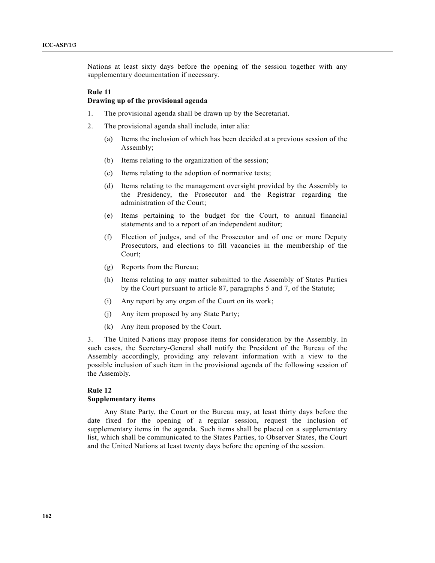Nations at least sixty days before the opening of the session together with any supplementary documentation if necessary.

### **Rule 11**

### **Drawing up of the provisional agenda**

- 1. The provisional agenda shall be drawn up by the Secretariat.
- 2. The provisional agenda shall include, inter alia:
	- (a) Items the inclusion of which has been decided at a previous session of the Assembly;
	- (b) Items relating to the organization of the session;
	- (c) Items relating to the adoption of normative texts;
	- (d) Items relating to the management oversight provided by the Assembly to the Presidency, the Prosecutor and the Registrar regarding the administration of the Court;
	- (e) Items pertaining to the budget for the Court, to annual financial statements and to a report of an independent auditor;
	- (f) Election of judges, and of the Prosecutor and of one or more Deputy Prosecutors, and elections to fill vacancies in the membership of the Court;
	- (g) Reports from the Bureau;
	- (h) Items relating to any matter submitted to the Assembly of States Parties by the Court pursuant to article 87, paragraphs 5 and 7, of the Statute;
	- (i) Any report by any organ of the Court on its work;
	- (j) Any item proposed by any State Party;
	- (k) Any item proposed by the Court.

3. The United Nations may propose items for consideration by the Assembly. In such cases, the Secretary-General shall notify the President of the Bureau of the Assembly accordingly, providing any relevant information with a view to the possible inclusion of such item in the provisional agenda of the following session of the Assembly.

# **Rule 12**

### **Supplementary items**

Any State Party, the Court or the Bureau may, at least thirty days before the date fixed for the opening of a regular session, request the inclusion of supplementary items in the agenda. Such items shall be placed on a supplementary list, which shall be communicated to the States Parties, to Observer States, the Court and the United Nations at least twenty days before the opening of the session.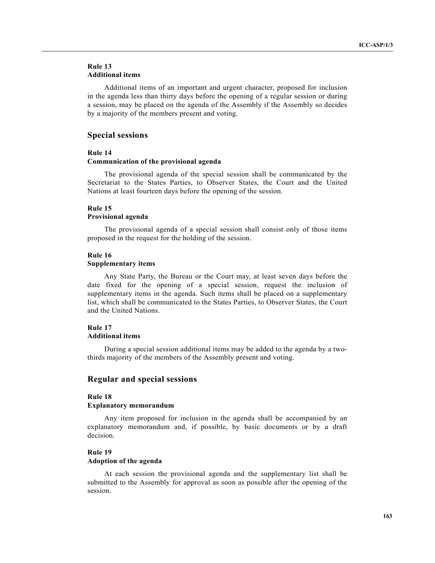# **Rule 13 Additional items**

Additional items of an important and urgent character, proposed for inclusion in the agenda less than thirty days before the opening of a regular session or during a session, may be placed on the agenda of the Assembly if the Assembly so decides by a majority of the members present and voting.

### **Special sessions**

# **Rule 14**

#### **Communication of the provisional agenda**

The provisional agenda of the special session shall be communicated by the Secretariat to the States Parties, to Observer States, the Court and the United Nations at least fourteen days before the opening of the session.

#### **Rule 15**

#### **Provisional agenda**

The provisional agenda of a special session shall consist only of those items proposed in the request for the holding of the session.

#### **Rule 16**

### **Supplementary items**

Any State Party, the Bureau or the Court may, at least seven days before the date fixed for the opening of a special session, request the inclusion of supplementary items in the agenda. Such items shall be placed on a supplementary list, which shall be communicated to the States Parties, to Observer States, the Court and the United Nations.

# **Rule 17 Additional items**

During a special session additional items may be added to the agenda by a twothirds majority of the members of the Assembly present and voting.

# **Regular and special sessions**

#### **Rule 18**

#### **Explanatory memorandum**

Any item proposed for inclusion in the agenda shall be accompanied by an explanatory memorandum and, if possible, by basic documents or by a draft decision.

# **Rule 19 Adoption of the agenda**

At each session the provisional agenda and the supplementary list shall be submitted to the Assembly for approval as soon as possible after the opening of the session.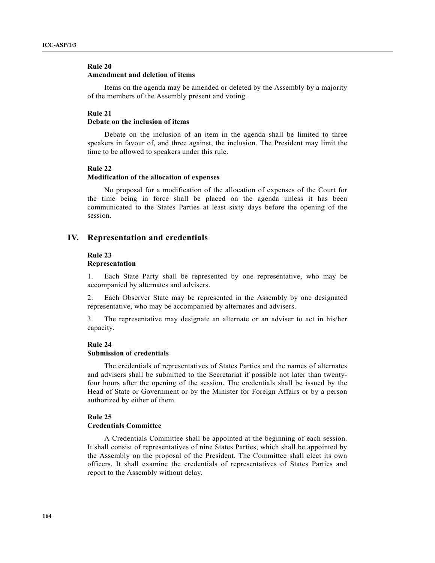# **Rule 20**

#### **Amendment and deletion of items**

Items on the agenda may be amended or deleted by the Assembly by a majority of the members of the Assembly present and voting.

### **Rule 21**

#### **Debate on the inclusion of items**

Debate on the inclusion of an item in the agenda shall be limited to three speakers in favour of, and three against, the inclusion. The President may limit the time to be allowed to speakers under this rule.

#### **Rule 22**

### **Modification of the allocation of expenses**

No proposal for a modification of the allocation of expenses of the Court for the time being in force shall be placed on the agenda unless it has been communicated to the States Parties at least sixty days before the opening of the session.

#### **IV. Representation and credentials**

#### **Rule 23**

# **Representation**

1. Each State Party shall be represented by one representative, who may be accompanied by alternates and advisers.

2. Each Observer State may be represented in the Assembly by one designated representative, who may be accompanied by alternates and advisers.

3. The representative may designate an alternate or an adviser to act in his/her capacity.

### **Rule 24**

#### **Submission of credentials**

The credentials of representatives of States Parties and the names of alternates and advisers shall be submitted to the Secretariat if possible not later than twentyfour hours after the opening of the session. The credentials shall be issued by the Head of State or Government or by the Minister for Foreign Affairs or by a person authorized by either of them.

#### **Rule 25**

#### **Credentials Committee**

A Credentials Committee shall be appointed at the beginning of each session. It shall consist of representatives of nine States Parties, which shall be appointed by the Assembly on the proposal of the President. The Committee shall elect its own officers. It shall examine the credentials of representatives of States Parties and report to the Assembly without delay.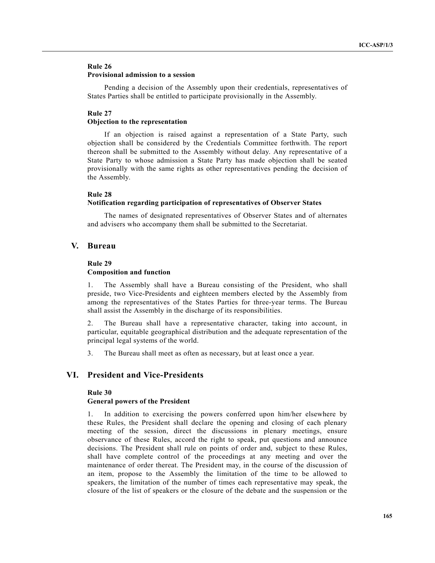# **Rule 26 Provisional admission to a session**

Pending a decision of the Assembly upon their credentials, representatives of States Parties shall be entitled to participate provisionally in the Assembly.

# **Rule 27**

### **Objection to the representation**

If an objection is raised against a representation of a State Party, such objection shall be considered by the Credentials Committee forthwith. The report thereon shall be submitted to the Assembly without delay. Any representative of a State Party to whose admission a State Party has made objection shall be seated provisionally with the same rights as other representatives pending the decision of the Assembly.

#### **Rule 28**

# **Notification regarding participation of representatives of Observer States**

The names of designated representatives of Observer States and of alternates and advisers who accompany them shall be submitted to the Secretariat.

# **V. Bureau**

#### **Rule 29**

#### **Composition and function**

1. The Assembly shall have a Bureau consisting of the President, who shall preside, two Vice-Presidents and eighteen members elected by the Assembly from among the representatives of the States Parties for three-year terms. The Bureau shall assist the Assembly in the discharge of its responsibilities.

2. The Bureau shall have a representative character, taking into account, in particular, equitable geographical distribution and the adequate representation of the principal legal systems of the world.

3. The Bureau shall meet as often as necessary, but at least once a year.

# **VI. President and Vice-Presidents**

### **Rule 30**

#### **General powers of the President**

1. In addition to exercising the powers conferred upon him/her elsewhere by these Rules, the President shall declare the opening and closing of each plenary meeting of the session, direct the discussions in plenary meetings, ensure observance of these Rules, accord the right to speak, put questions and announce decisions. The President shall rule on points of order and, subject to these Rules, shall have complete control of the proceedings at any meeting and over the maintenance of order thereat. The President may, in the course of the discussion of an item, propose to the Assembly the limitation of the time to be allowed to speakers, the limitation of the number of times each representative may speak, the closure of the list of speakers or the closure of the debate and the suspension or the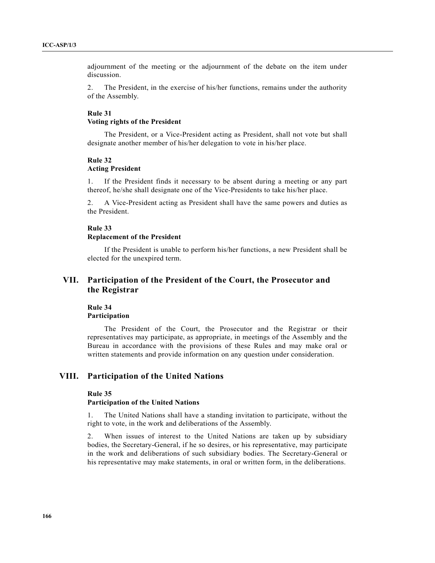adjournment of the meeting or the adjournment of the debate on the item under discussion.

2. The President, in the exercise of his/her functions, remains under the authority of the Assembly.

# **Rule 31**

### **Voting rights of the President**

The President, or a Vice-President acting as President, shall not vote but shall designate another member of his/her delegation to vote in his/her place.

# **Rule 32**

# **Acting President**

1. If the President finds it necessary to be absent during a meeting or any part thereof, he/she shall designate one of the Vice-Presidents to take his/her place.

2. A Vice-President acting as President shall have the same powers and duties as the President.

# **Rule 33**

#### **Replacement of the President**

If the President is unable to perform his/her functions, a new President shall be elected for the unexpired term.

# **VII. Participation of the President of the Court, the Prosecutor and the Registrar**

### **Rule 34 Participation**

The President of the Court, the Prosecutor and the Registrar or their representatives may participate, as appropriate, in meetings of the Assembly and the Bureau in accordance with the provisions of these Rules and may make oral or written statements and provide information on any question under consideration.

# **VIII. Participation of the United Nations**

#### **Rule 35**

### **Participation of the United Nations**

1. The United Nations shall have a standing invitation to participate, without the right to vote, in the work and deliberations of the Assembly.

2. When issues of interest to the United Nations are taken up by subsidiary bodies, the Secretary-General, if he so desires, or his representative, may participate in the work and deliberations of such subsidiary bodies. The Secretary-General or his representative may make statements, in oral or written form, in the deliberations.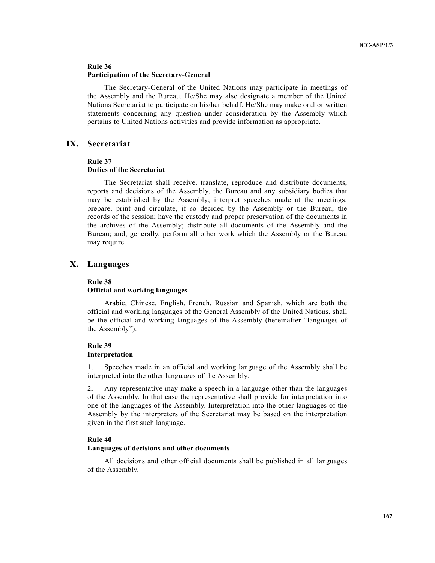### **Rule 36 Participation of the Secretary-General**

The Secretary-General of the United Nations may participate in meetings of the Assembly and the Bureau. He/She may also designate a member of the United Nations Secretariat to participate on his/her behalf. He/She may make oral or written statements concerning any question under consideration by the Assembly which pertains to United Nations activities and provide information as appropriate.

# **IX. Secretariat**

### **Rule 37**

# **Duties of the Secretariat**

The Secretariat shall receive, translate, reproduce and distribute documents, reports and decisions of the Assembly, the Bureau and any subsidiary bodies that may be established by the Assembly; interpret speeches made at the meetings; prepare, print and circulate, if so decided by the Assembly or the Bureau, the records of the session; have the custody and proper preservation of the documents in the archives of the Assembly; distribute all documents of the Assembly and the Bureau; and, generally, perform all other work which the Assembly or the Bureau may require.

# **X. Languages**

# **Rule 38 Official and working languages**

Arabic, Chinese, English, French, Russian and Spanish, which are both the official and working languages of the General Assembly of the United Nations, shall be the official and working languages of the Assembly (hereinafter "languages of the Assembly").

# **Rule 39 Interpretation**

1. Speeches made in an official and working language of the Assembly shall be interpreted into the other languages of the Assembly.

2. Any representative may make a speech in a language other than the languages of the Assembly. In that case the representative shall provide for interpretation into one of the languages of the Assembly. Interpretation into the other languages of the Assembly by the interpreters of the Secretariat may be based on the interpretation given in the first such language.

### **Rule 40**

### **Languages of decisions and other documents**

All decisions and other official documents shall be published in all languages of the Assembly.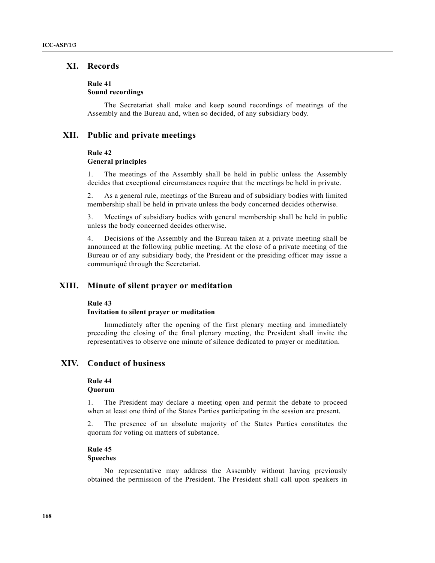# **XI. Records**

# **Rule 41**

### **Sound recordings**

The Secretariat shall make and keep sound recordings of meetings of the Assembly and the Bureau and, when so decided, of any subsidiary body.

# **XII. Public and private meetings**

#### **Rule 42**

#### **General principles**

1. The meetings of the Assembly shall be held in public unless the Assembly decides that exceptional circumstances require that the meetings be held in private.

2. As a general rule, meetings of the Bureau and of subsidiary bodies with limited membership shall be held in private unless the body concerned decides otherwise.

3. Meetings of subsidiary bodies with general membership shall be held in public unless the body concerned decides otherwise.

4. Decisions of the Assembly and the Bureau taken at a private meeting shall be announced at the following public meeting. At the close of a private meeting of the Bureau or of any subsidiary body, the President or the presiding officer may issue a communiquÈ through the Secretariat.

# **XIII. Minute of silent prayer or meditation**

#### **Rule 43**

#### **Invitation to silent prayer or meditation**

Immediately after the opening of the first plenary meeting and immediately preceding the closing of the final plenary meeting, the President shall invite the representatives to observe one minute of silence dedicated to prayer or meditation.

# **XIV. Conduct of business**

#### **Rule 44 Quorum**

1. The President may declare a meeting open and permit the debate to proceed when at least one third of the States Parties participating in the session are present.

2. The presence of an absolute majority of the States Parties constitutes the quorum for voting on matters of substance.

### **Rule 45 Speeches**

No representative may address the Assembly without having previously obtained the permission of the President. The President shall call upon speakers in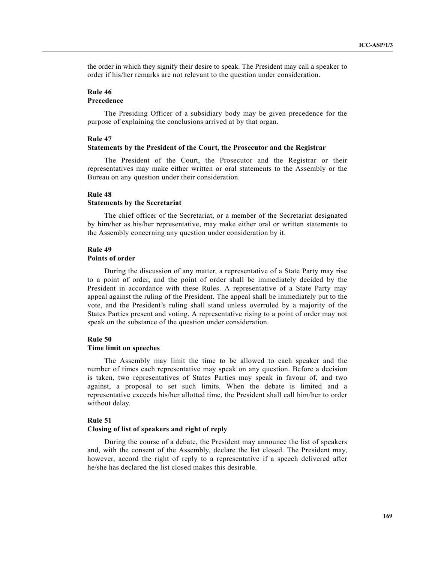the order in which they signify their desire to speak. The President may call a speaker to order if his/her remarks are not relevant to the question under consideration.

# **Rule 46**

# **Precedence**

The Presiding Officer of a subsidiary body may be given precedence for the purpose of explaining the conclusions arrived at by that organ.

#### **Rule 47**

#### **Statements by the President of the Court, the Prosecutor and the Registrar**

The President of the Court, the Prosecutor and the Registrar or their representatives may make either written or oral statements to the Assembly or the Bureau on any question under their consideration.

### **Rule 48**

#### **Statements by the Secretariat**

The chief officer of the Secretariat, or a member of the Secretariat designated by him/her as his/her representative, may make either oral or written statements to the Assembly concerning any question under consideration by it.

# **Rule 49**

# **Points of order**

During the discussion of any matter, a representative of a State Party may rise to a point of order, and the point of order shall be immediately decided by the President in accordance with these Rules. A representative of a State Party may appeal against the ruling of the President. The appeal shall be immediately put to the vote, and the President's ruling shall stand unless overruled by a majority of the States Parties present and voting. A representative rising to a point of order may not speak on the substance of the question under consideration.

### **Rule 50**

#### **Time limit on speeches**

The Assembly may limit the time to be allowed to each speaker and the number of times each representative may speak on any question. Before a decision is taken, two representatives of States Parties may speak in favour of, and two against, a proposal to set such limits. When the debate is limited and a representative exceeds his/her allotted time, the President shall call him/her to order without delay.

#### **Rule 51**

#### **Closing of list of speakers and right of reply**

During the course of a debate, the President may announce the list of speakers and, with the consent of the Assembly, declare the list closed. The President may, however, accord the right of reply to a representative if a speech delivered after he/she has declared the list closed makes this desirable.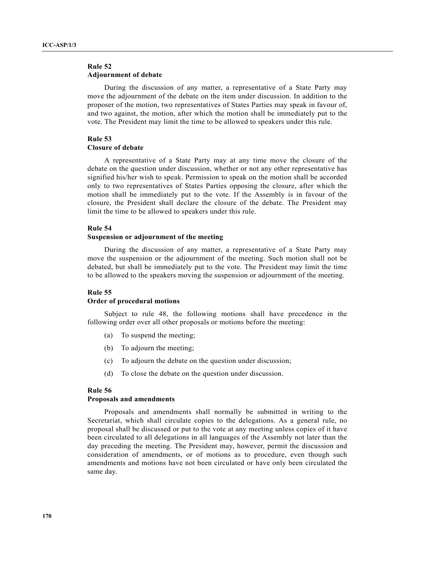# **Rule 52 Adjournment of debate**

During the discussion of any matter, a representative of a State Party may move the adjournment of the debate on the item under discussion. In addition to the proposer of the motion, two representatives of States Parties may speak in favour of, and two against, the motion, after which the motion shall be immediately put to the vote. The President may limit the time to be allowed to speakers under this rule.

#### **Rule 53**

### **Closure of debate**

A representative of a State Party may at any time move the closure of the debate on the question under discussion, whether or not any other representative has signified his/her wish to speak. Permission to speak on the motion shall be accorded only to two representatives of States Parties opposing the closure, after which the motion shall be immediately put to the vote. If the Assembly is in favour of the closure, the President shall declare the closure of the debate. The President may limit the time to be allowed to speakers under this rule.

#### **Rule 54**

### **Suspension or adjournment of the meeting**

During the discussion of any matter, a representative of a State Party may move the suspension or the adjournment of the meeting. Such motion shall not be debated, but shall be immediately put to the vote. The President may limit the time to be allowed to the speakers moving the suspension or adjournment of the meeting.

#### **Rule 55**

#### **Order of procedural motions**

Subject to rule 48, the following motions shall have precedence in the following order over all other proposals or motions before the meeting:

- (a) To suspend the meeting;
- (b) To adjourn the meeting;
- (c) To adjourn the debate on the question under discussion;
- (d) To close the debate on the question under discussion.

# **Rule 56**

### **Proposals and amendments**

Proposals and amendments shall normally be submitted in writing to the Secretariat, which shall circulate copies to the delegations. As a general rule, no proposal shall be discussed or put to the vote at any meeting unless copies of it have been circulated to all delegations in all languages of the Assembly not later than the day preceding the meeting. The President may, however, permit the discussion and consideration of amendments, or of motions as to procedure, even though such amendments and motions have not been circulated or have only been circulated the same day.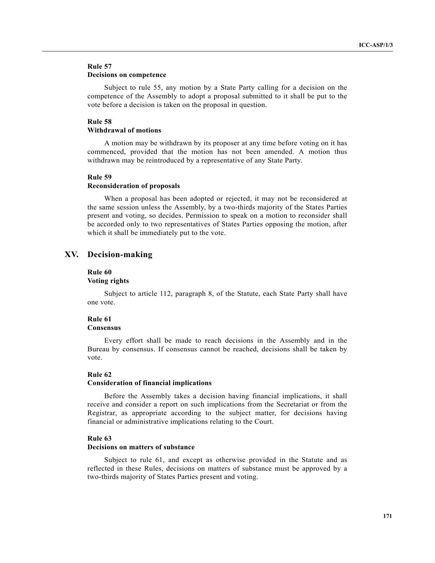# **Rule 57 Decisions on competence**

Subject to rule 55, any motion by a State Party calling for a decision on the competence of the Assembly to adopt a proposal submitted to it shall be put to the vote before a decision is taken on the proposal in question.

# **Rule 58 Withdrawal of motions**

A motion may be withdrawn by its proposer at any time before voting on it has commenced, provided that the motion has not been amended. A motion thus withdrawn may be reintroduced by a representative of any State Party.

#### **Rule 59**

### **Reconsideration of proposals**

When a proposal has been adopted or rejected, it may not be reconsidered at the same session unless the Assembly, by a two-thirds majority of the States Parties present and voting, so decides. Permission to speak on a motion to reconsider shall be accorded only to two representatives of States Parties opposing the motion, after which it shall be immediately put to the vote.

# **XV. Decision-making**

#### **Rule 60**

#### **Voting rights**

Subject to article 112, paragraph 8, of the Statute, each State Party shall have one vote.

# **Rule 61**

#### **Consensus**

Every effort shall be made to reach decisions in the Assembly and in the Bureau by consensus. If consensus cannot be reached, decisions shall be taken by vote.

### **Rule 62**

#### **Consideration of financial implications**

Before the Assembly takes a decision having financial implications, it shall receive and consider a report on such implications from the Secretariat or from the Registrar, as appropriate according to the subject matter, for decisions having financial or administrative implications relating to the Court.

# **Rule 63**

#### **Decisions on matters of substance**

Subject to rule 61, and except as otherwise provided in the Statute and as reflected in these Rules, decisions on matters of substance must be approved by a two-thirds majority of States Parties present and voting.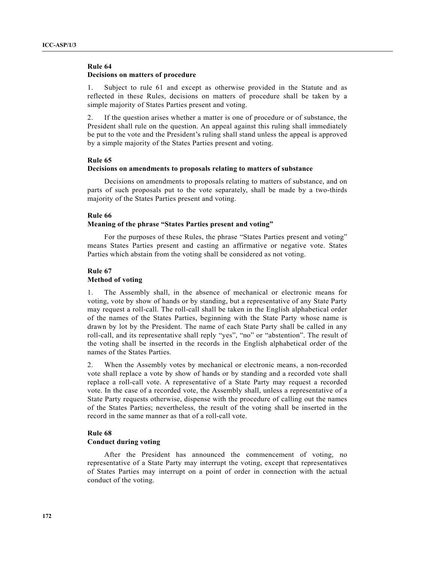# **Rule 64**

#### **Decisions on matters of procedure**

1. Subject to rule 61 and except as otherwise provided in the Statute and as reflected in these Rules, decisions on matters of procedure shall be taken by a simple majority of States Parties present and voting.

2. If the question arises whether a matter is one of procedure or of substance, the President shall rule on the question. An appeal against this ruling shall immediately be put to the vote and the President's ruling shall stand unless the appeal is approved by a simple majority of the States Parties present and voting.

# **Rule 65**

#### **Decisions on amendments to proposals relating to matters of substance**

Decisions on amendments to proposals relating to matters of substance, and on parts of such proposals put to the vote separately, shall be made by a two-thirds majority of the States Parties present and voting.

#### **Rule 66**

#### **Meaning of the phrase "States Parties present and voting"**

For the purposes of these Rules, the phrase "States Parties present and voting" means States Parties present and casting an affirmative or negative vote. States Parties which abstain from the voting shall be considered as not voting.

### **Rule 67 Method of voting**

1. The Assembly shall, in the absence of mechanical or electronic means for voting, vote by show of hands or by standing, but a representative of any State Party may request a roll-call. The roll-call shall be taken in the English alphabetical order of the names of the States Parties, beginning with the State Party whose name is drawn by lot by the President. The name of each State Party shall be called in any roll-call, and its representative shall reply "yes", "no" or "abstention". The result of the voting shall be inserted in the records in the English alphabetical order of the names of the States Parties.

2. When the Assembly votes by mechanical or electronic means, a non-recorded vote shall replace a vote by show of hands or by standing and a recorded vote shall replace a roll-call vote. A representative of a State Party may request a recorded vote. In the case of a recorded vote, the Assembly shall, unless a representative of a State Party requests otherwise, dispense with the procedure of calling out the names of the States Parties; nevertheless, the result of the voting shall be inserted in the record in the same manner as that of a roll-call vote.

#### **Rule 68**

# **Conduct during voting**

After the President has announced the commencement of voting, no representative of a State Party may interrupt the voting, except that representatives of States Parties may interrupt on a point of order in connection with the actual conduct of the voting.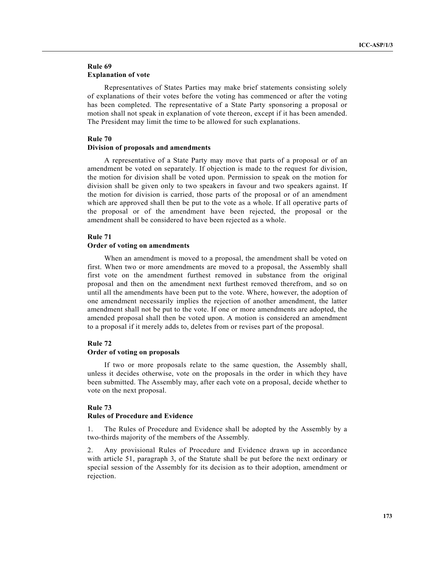# **Rule 69 Explanation of vote**

Representatives of States Parties may make brief statements consisting solely of explanations of their votes before the voting has commenced or after the voting has been completed. The representative of a State Party sponsoring a proposal or motion shall not speak in explanation of vote thereon, except if it has been amended. The President may limit the time to be allowed for such explanations.

### **Rule 70**

#### **Division of proposals and amendments**

A representative of a State Party may move that parts of a proposal or of an amendment be voted on separately. If objection is made to the request for division, the motion for division shall be voted upon. Permission to speak on the motion for division shall be given only to two speakers in favour and two speakers against. If the motion for division is carried, those parts of the proposal or of an amendment which are approved shall then be put to the vote as a whole. If all operative parts of the proposal or of the amendment have been rejected, the proposal or the amendment shall be considered to have been rejected as a whole.

### **Rule 71**

#### **Order of voting on amendments**

When an amendment is moved to a proposal, the amendment shall be voted on first. When two or more amendments are moved to a proposal, the Assembly shall first vote on the amendment furthest removed in substance from the original proposal and then on the amendment next furthest removed therefrom, and so on until all the amendments have been put to the vote. Where, however, the adoption of one amendment necessarily implies the rejection of another amendment, the latter amendment shall not be put to the vote. If one or more amendments are adopted, the amended proposal shall then be voted upon. A motion is considered an amendment to a proposal if it merely adds to, deletes from or revises part of the proposal.

### **Rule 72**

#### **Order of voting on proposals**

If two or more proposals relate to the same question, the Assembly shall, unless it decides otherwise, vote on the proposals in the order in which they have been submitted. The Assembly may, after each vote on a proposal, decide whether to vote on the next proposal.

### **Rule 73**

### **Rules of Procedure and Evidence**

1. The Rules of Procedure and Evidence shall be adopted by the Assembly by a two-thirds majority of the members of the Assembly.

2. Any provisional Rules of Procedure and Evidence drawn up in accordance with article 51, paragraph 3, of the Statute shall be put before the next ordinary or special session of the Assembly for its decision as to their adoption, amendment or rejection.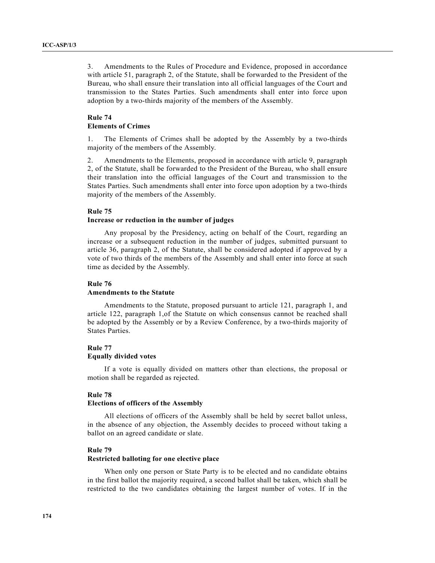3. Amendments to the Rules of Procedure and Evidence, proposed in accordance with article 51, paragraph 2, of the Statute, shall be forwarded to the President of the Bureau, who shall ensure their translation into all official languages of the Court and transmission to the States Parties. Such amendments shall enter into force upon adoption by a two-thirds majority of the members of the Assembly.

#### **Rule 74 Elements of Crimes**

1. The Elements of Crimes shall be adopted by the Assembly by a two-thirds majority of the members of the Assembly.

2. Amendments to the Elements, proposed in accordance with article 9, paragraph 2, of the Statute, shall be forwarded to the President of the Bureau, who shall ensure their translation into the official languages of the Court and transmission to the States Parties. Such amendments shall enter into force upon adoption by a two-thirds majority of the members of the Assembly.

#### **Rule 75**

#### **Increase or reduction in the number of judges**

Any proposal by the Presidency, acting on behalf of the Court, regarding an increase or a subsequent reduction in the number of judges, submitted pursuant to article 36, paragraph 2, of the Statute, shall be considered adopted if approved by a vote of two thirds of the members of the Assembly and shall enter into force at such time as decided by the Assembly.

#### **Rule 76**

#### **Amendments to the Statute**

Amendments to the Statute, proposed pursuant to article 121, paragraph 1, and article 122, paragraph 1,of the Statute on which consensus cannot be reached shall be adopted by the Assembly or by a Review Conference, by a two-thirds majority of States Parties.

# **Rule 77**

#### **Equally divided votes**

If a vote is equally divided on matters other than elections, the proposal or motion shall be regarded as rejected.

### **Rule 78**

#### **Elections of officers of the Assembly**

All elections of officers of the Assembly shall be held by secret ballot unless, in the absence of any objection, the Assembly decides to proceed without taking a ballot on an agreed candidate or slate.

#### **Rule 79**

#### **Restricted balloting for one elective place**

When only one person or State Party is to be elected and no candidate obtains in the first ballot the majority required, a second ballot shall be taken, which shall be restricted to the two candidates obtaining the largest number of votes. If in the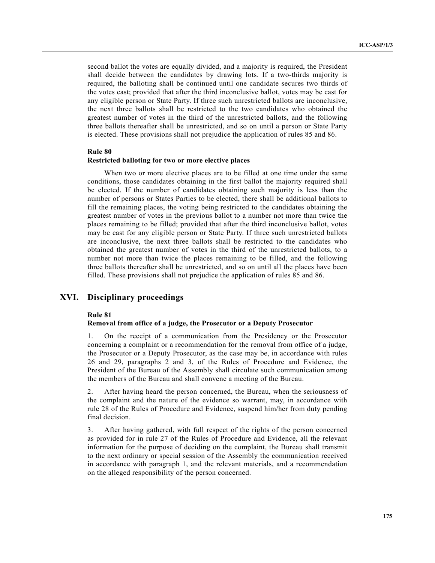second ballot the votes are equally divided, and a majority is required, the President shall decide between the candidates by drawing lots. If a two-thirds majority is required, the balloting shall be continued until one candidate secures two thirds of the votes cast; provided that after the third inconclusive ballot, votes may be cast for any eligible person or State Party. If three such unrestricted ballots are inconclusive, the next three ballots shall be restricted to the two candidates who obtained the greatest number of votes in the third of the unrestricted ballots, and the following three ballots thereafter shall be unrestricted, and so on until a person or State Party is elected. These provisions shall not prejudice the application of rules 85 and 86.

#### **Rule 80**

#### **Restricted balloting for two or more elective places**

When two or more elective places are to be filled at one time under the same conditions, those candidates obtaining in the first ballot the majority required shall be elected. If the number of candidates obtaining such majority is less than the number of persons or States Parties to be elected, there shall be additional ballots to fill the remaining places, the voting being restricted to the candidates obtaining the greatest number of votes in the previous ballot to a number not more than twice the places remaining to be filled; provided that after the third inconclusive ballot, votes may be cast for any eligible person or State Party. If three such unrestricted ballots are inconclusive, the next three ballots shall be restricted to the candidates who obtained the greatest number of votes in the third of the unrestricted ballots, to a number not more than twice the places remaining to be filled, and the following three ballots thereafter shall be unrestricted, and so on until all the places have been filled. These provisions shall not prejudice the application of rules 85 and 86.

# **XVI. Disciplinary proceedings**

#### **Rule 81**

### **Removal from office of a judge, the Prosecutor or a Deputy Prosecutor**

1. On the receipt of a communication from the Presidency or the Prosecutor concerning a complaint or a recommendation for the removal from office of a judge, the Prosecutor or a Deputy Prosecutor, as the case may be, in accordance with rules 26 and 29, paragraphs 2 and 3, of the Rules of Procedure and Evidence, the President of the Bureau of the Assembly shall circulate such communication among the members of the Bureau and shall convene a meeting of the Bureau.

2. After having heard the person concerned, the Bureau, when the seriousness of the complaint and the nature of the evidence so warrant, may, in accordance with rule 28 of the Rules of Procedure and Evidence, suspend him/her from duty pending final decision.

3. After having gathered, with full respect of the rights of the person concerned as provided for in rule 27 of the Rules of Procedure and Evidence, all the relevant information for the purpose of deciding on the complaint, the Bureau shall transmit to the next ordinary or special session of the Assembly the communication received in accordance with paragraph 1, and the relevant materials, and a recommendation on the alleged responsibility of the person concerned.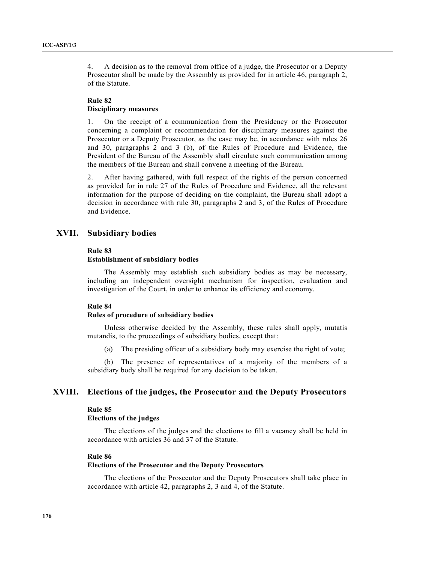4. A decision as to the removal from office of a judge, the Prosecutor or a Deputy Prosecutor shall be made by the Assembly as provided for in article 46, paragraph 2, of the Statute.

### **Rule 82 Disciplinary measures**

1. On the receipt of a communication from the Presidency or the Prosecutor concerning a complaint or recommendation for disciplinary measures against the Prosecutor or a Deputy Prosecutor, as the case may be, in accordance with rules 26 and 30, paragraphs 2 and 3 (b), of the Rules of Procedure and Evidence, the President of the Bureau of the Assembly shall circulate such communication among the members of the Bureau and shall convene a meeting of the Bureau.

2. After having gathered, with full respect of the rights of the person concerned as provided for in rule 27 of the Rules of Procedure and Evidence, all the relevant information for the purpose of deciding on the complaint, the Bureau shall adopt a decision in accordance with rule 30, paragraphs 2 and 3, of the Rules of Procedure and Evidence.

# **XVII. Subsidiary bodies**

### **Rule 83**

#### **Establishment of subsidiary bodies**

The Assembly may establish such subsidiary bodies as may be necessary, including an independent oversight mechanism for inspection, evaluation and investigation of the Court, in order to enhance its efficiency and economy.

# **Rule 84**

### **Rules of procedure of subsidiary bodies**

Unless otherwise decided by the Assembly, these rules shall apply, mutatis mutandis, to the proceedings of subsidiary bodies, except that:

(a) The presiding officer of a subsidiary body may exercise the right of vote;

(b) The presence of representatives of a majority of the members of a subsidiary body shall be required for any decision to be taken.

### **XVIII. Elections of the judges, the Prosecutor and the Deputy Prosecutors**

### **Rule 85**

#### **Elections of the judges**

The elections of the judges and the elections to fill a vacancy shall be held in accordance with articles 36 and 37 of the Statute.

#### **Rule 86**

#### **Elections of the Prosecutor and the Deputy Prosecutors**

The elections of the Prosecutor and the Deputy Prosecutors shall take place in accordance with article 42, paragraphs 2, 3 and 4, of the Statute.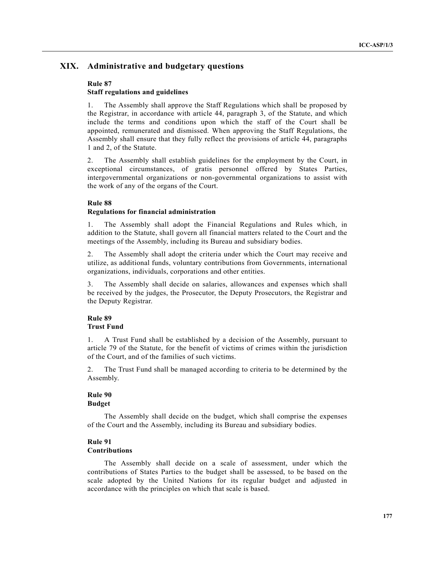# **XIX. Administrative and budgetary questions**

# **Rule 87 Staff regulations and guidelines**

1. The Assembly shall approve the Staff Regulations which shall be proposed by the Registrar, in accordance with article 44, paragraph 3, of the Statute, and which include the terms and conditions upon which the staff of the Court shall be appointed, remunerated and dismissed. When approving the Staff Regulations, the Assembly shall ensure that they fully reflect the provisions of article 44, paragraphs 1 and 2, of the Statute.

2. The Assembly shall establish guidelines for the employment by the Court, in exceptional circumstances, of gratis personnel offered by States Parties, intergovernmental organizations or non-governmental organizations to assist with the work of any of the organs of the Court.

# **Rule 88**

### **Regulations for financial administration**

1. The Assembly shall adopt the Financial Regulations and Rules which, in addition to the Statute, shall govern all financial matters related to the Court and the meetings of the Assembly, including its Bureau and subsidiary bodies.

2. The Assembly shall adopt the criteria under which the Court may receive and utilize, as additional funds, voluntary contributions from Governments, international organizations, individuals, corporations and other entities.

3. The Assembly shall decide on salaries, allowances and expenses which shall be received by the judges, the Prosecutor, the Deputy Prosecutors, the Registrar and the Deputy Registrar.

### **Rule 89 Trust Fund**

1. A Trust Fund shall be established by a decision of the Assembly, pursuant to article 79 of the Statute, for the benefit of victims of crimes within the jurisdiction of the Court, and of the families of such victims.

2. The Trust Fund shall be managed according to criteria to be determined by the Assembly.

# **Rule 90**

### **Budget**

The Assembly shall decide on the budget, which shall comprise the expenses of the Court and the Assembly, including its Bureau and subsidiary bodies.

# **Rule 91**

# **Contributions**

The Assembly shall decide on a scale of assessment, under which the contributions of States Parties to the budget shall be assessed, to be based on the scale adopted by the United Nations for its regular budget and adjusted in accordance with the principles on which that scale is based.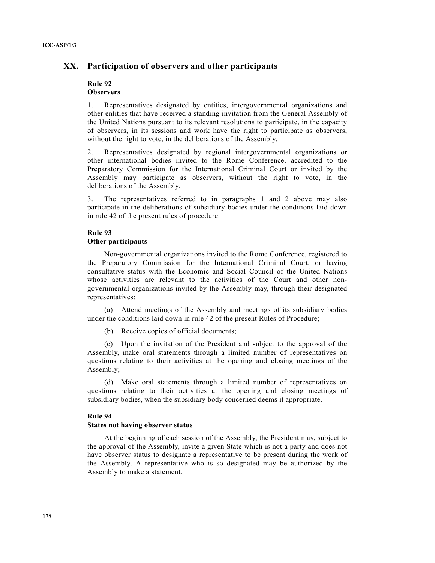# **XX. Participation of observers and other participants**

#### **Rule 92 Observers**

1. Representatives designated by entities, intergovernmental organizations and other entities that have received a standing invitation from the General Assembly of the United Nations pursuant to its relevant resolutions to participate, in the capacity of observers, in its sessions and work have the right to participate as observers, without the right to vote, in the deliberations of the Assembly.

2. Representatives designated by regional intergovernmental organizations or other international bodies invited to the Rome Conference, accredited to the Preparatory Commission for the International Criminal Court or invited by the Assembly may participate as observers, without the right to vote, in the deliberations of the Assembly.

3. The representatives referred to in paragraphs 1 and 2 above may also participate in the deliberations of subsidiary bodies under the conditions laid down in rule 42 of the present rules of procedure.

### **Rule 93**

#### **Other participants**

Non-governmental organizations invited to the Rome Conference, registered to the Preparatory Commission for the International Criminal Court, or having consultative status with the Economic and Social Council of the United Nations whose activities are relevant to the activities of the Court and other nongovernmental organizations invited by the Assembly may, through their designated representatives:

(a) Attend meetings of the Assembly and meetings of its subsidiary bodies under the conditions laid down in rule 42 of the present Rules of Procedure;

(b) Receive copies of official documents;

(c) Upon the invitation of the President and subject to the approval of the Assembly, make oral statements through a limited number of representatives on questions relating to their activities at the opening and closing meetings of the Assembly;

(d) Make oral statements through a limited number of representatives on questions relating to their activities at the opening and closing meetings of subsidiary bodies, when the subsidiary body concerned deems it appropriate.

#### **Rule 94**

#### **States not having observer status**

At the beginning of each session of the Assembly, the President may, subject to the approval of the Assembly, invite a given State which is not a party and does not have observer status to designate a representative to be present during the work of the Assembly. A representative who is so designated may be authorized by the Assembly to make a statement.